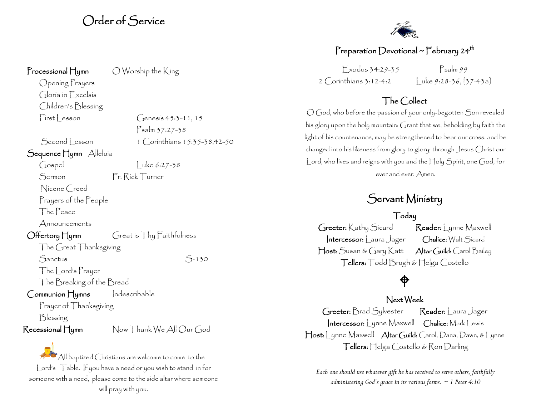## Order of Service

Processional Hymn O Worship the King

Opening Prayers Gloria in Excelsis Children's Blessing

Sequence Hymn Alleluia

Nicene Creed Prayers of the People

The Peace

Announcements

Offertory Hymn Great is Thy Faithfulness The Great Thanksgiving Sanctus S-130 The Lord's Prayer

The Breaking of the Bread

Communion Hymns Indescribable

Prayer of Thanksgiving

Blessing

Recessional Hymn Now Thank We All Our God

 $\bullet$  All baptized Christians are welcome to come to the Lord's Table. If you have a need or you wish to stand in for someone with a need, please come to the side altar where someone will pray with you.



## Preparation Devotional ~ February 24<sup>th</sup>

 $F$  xodus 34:29-35  $P$ salm 99 2 Corinthians 3:12-4:2  $\left| \int \right| \text{uke } 9:28-36, [37-43a]$ 

## The Collect

O God, who before the passion of your only-begotten Son revealed his glory upon the holy mountain: Grant that we, beholding by faith the light of his countenance, may be strengthened to bear our cross, and be changed into his likeness from glory to glory; through Jesus Christ our Lord, who lives and reigns with you and the Holy Spirit, one God, for ever and ever. Amen.

## Servant Ministry

Today

Greeter: Kathy Sicard Reader: Lynne Maxwell Intercessor: | aura Jager Chalice: Walt Sicard Host: Susan & Gary Katt Altar Guild: Carol Bailey Tellers: Todd Brugh & Helga Costello

## ⊕

### Next Week

Greeter: Brad Sylvester Reader: | aura Jager Intercessor: Lynne Maxwell Chalice: Mark Lewis Host: Lynne Maxwell Altar Guild: Carol, Dana, Dawn, & Lynne Tellers: Helga Costello & Ron Darling

*Each one should use whatever gift he has received to serve others, faithfully administering God's grace in its various forms. ~ 1 Peter 4:10*

 $First **less** on **Genesis** 45:3-11, 15$ Psalm 37:27-38

 $Second lesson 1$  Corinthians  $15:35-38.42-50$ 

 $\int \csc(10.27-3.8)$  Luke 6:27-38

Sermon Fr. Rick Turner